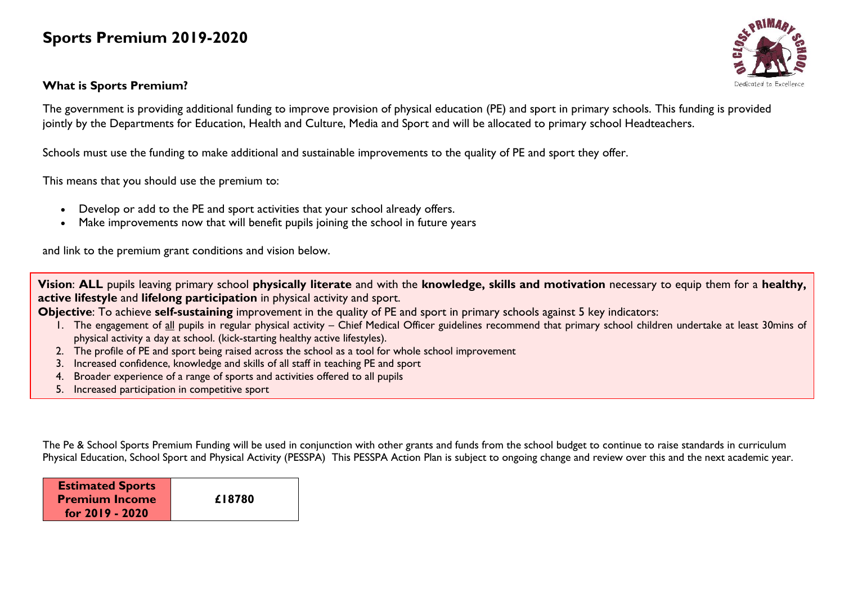## **Sports Premium 2019-2020**

## **What is Sports Premium?**



The government is providing additional funding to improve provision of physical education (PE) and sport in primary schools. This funding is provided jointly by the Departments for Education, Health and Culture, Media and Sport and will be allocated to primary school Headteachers.

Schools must use the funding to make additional and sustainable improvements to the quality of PE and sport they offer.

This means that you should use the premium to:

- Develop or add to the PE and sport activities that your school already offers.
- Make improvements now that will benefit pupils joining the school in future years

and link to the premium grant conditions and vision below.

**Vision**: **ALL** pupils leaving primary school **physically literate** and with the **knowledge, skills and motivation** necessary to equip them for a **healthy, active lifestyle** and **lifelong participation** in physical activity and sport.

**Objective**: To achieve **self-sustaining** improvement in the quality of PE and sport in primary schools against 5 key indicators:

- 1. The engagement of all pupils in regular physical activity Chief Medical Officer guidelines recommend that primary school children undertake at least 30mins of physical activity a day at school. (kick-starting healthy active lifestyles).
- 2. The profile of PE and sport being raised across the school as a tool for whole school improvement
- 3. Increased confidence, knowledge and skills of all staff in teaching PE and sport
- 4. Broader experience of a range of sports and activities offered to all pupils
- 5. Increased participation in competitive sport

The Pe & School Sports Premium Funding will be used in conjunction with other grants and funds from the school budget to continue to raise standards in curriculum Physical Education, School Sport and Physical Activity (PESSPA) This PESSPA Action Plan is subject to ongoing change and review over this and the next academic year.

| <b>Estimated Sports</b> |        |
|-------------------------|--------|
| <b>Premium Income</b>   | £18780 |
| for 2019 - 2020         |        |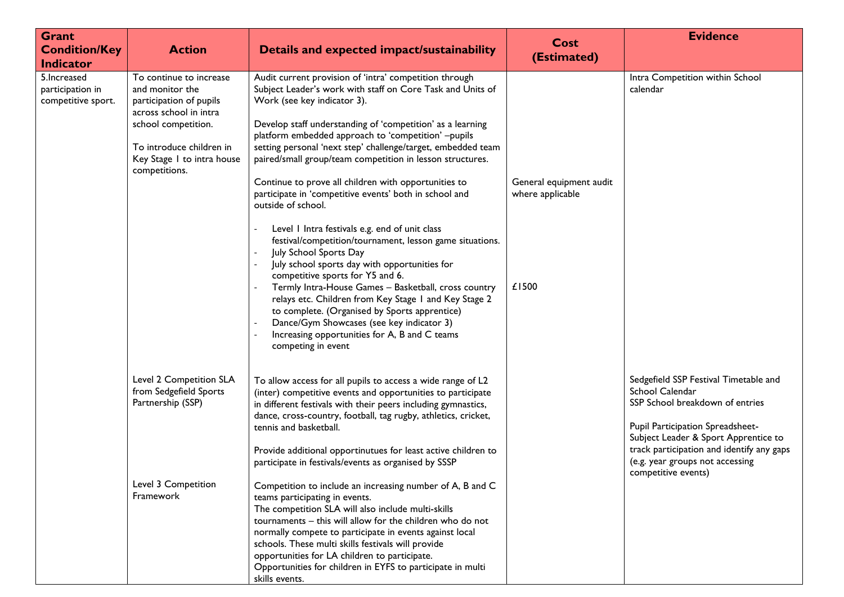| Grant<br><b>Condition/Key</b><br><b>Indicator</b>      | <b>Action</b>                                                                                                                                                                                     | Details and expected impact/sustainability                                                                                                                                                                                                                                                                                                                                                                                                                                                                                                                                                                                                                                                                                                                                                                                                                                                                                                                                                                                                 | <b>Cost</b><br>(Estimated)                           | <b>Evidence</b>                                                                                                                                                                                                                                                                |
|--------------------------------------------------------|---------------------------------------------------------------------------------------------------------------------------------------------------------------------------------------------------|--------------------------------------------------------------------------------------------------------------------------------------------------------------------------------------------------------------------------------------------------------------------------------------------------------------------------------------------------------------------------------------------------------------------------------------------------------------------------------------------------------------------------------------------------------------------------------------------------------------------------------------------------------------------------------------------------------------------------------------------------------------------------------------------------------------------------------------------------------------------------------------------------------------------------------------------------------------------------------------------------------------------------------------------|------------------------------------------------------|--------------------------------------------------------------------------------------------------------------------------------------------------------------------------------------------------------------------------------------------------------------------------------|
| 5. Increased<br>participation in<br>competitive sport. | To continue to increase<br>and monitor the<br>participation of pupils<br>across school in intra<br>school competition.<br>To introduce children in<br>Key Stage 1 to intra house<br>competitions. | Audit current provision of 'intra' competition through<br>Subject Leader's work with staff on Core Task and Units of<br>Work (see key indicator 3).<br>Develop staff understanding of 'competition' as a learning<br>platform embedded approach to 'competition' -pupils<br>setting personal 'next step' challenge/target, embedded team<br>paired/small group/team competition in lesson structures.<br>Continue to prove all children with opportunities to<br>participate in 'competitive events' both in school and<br>outside of school.<br>Level I Intra festivals e.g. end of unit class<br>festival/competition/tournament, lesson game situations.<br>July School Sports Day<br>July school sports day with opportunities for<br>competitive sports for Y5 and 6.<br>Termly Intra-House Games - Basketball, cross country<br>relays etc. Children from Key Stage 1 and Key Stage 2<br>to complete. (Organised by Sports apprentice)<br>Dance/Gym Showcases (see key indicator 3)<br>Increasing opportunities for A, B and C teams | General equipment audit<br>where applicable<br>£1500 | Intra Competition within School<br>calendar                                                                                                                                                                                                                                    |
|                                                        | Level 2 Competition SLA<br>from Sedgefield Sports<br>Partnership (SSP)<br>Level 3 Competition<br>Framework                                                                                        | competing in event<br>To allow access for all pupils to access a wide range of L2<br>(inter) competitive events and opportunities to participate<br>in different festivals with their peers including gymnastics,<br>dance, cross-country, football, tag rugby, athletics, cricket,<br>tennis and basketball.<br>Provide additional opportinutues for least active children to<br>participate in festivals/events as organised by SSSP<br>Competition to include an increasing number of A, B and C<br>teams participating in events.<br>The competition SLA will also include multi-skills<br>tournaments - this will allow for the children who do not<br>normally compete to participate in events against local<br>schools. These multi skills festivals will provide<br>opportunities for LA children to participate.<br>Opportunities for children in EYFS to participate in multi<br>skills events.                                                                                                                                 |                                                      | Sedgefield SSP Festival Timetable and<br>School Calendar<br>SSP School breakdown of entries<br>Pupil Participation Spreadsheet-<br>Subject Leader & Sport Apprentice to<br>track participation and identify any gaps<br>(e.g. year groups not accessing<br>competitive events) |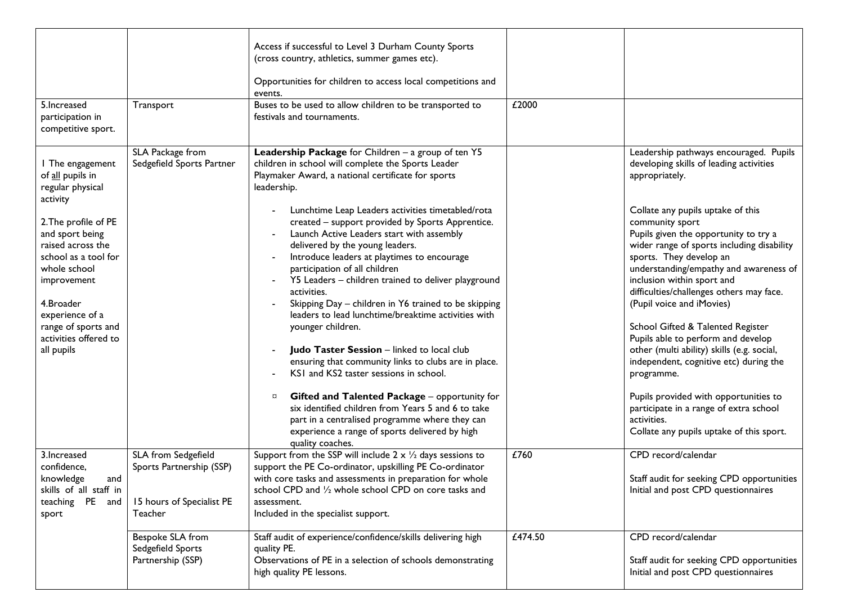| 5. Increased<br>participation in<br>competitive sport.                                                                                                                                                                                                                                    | Transport                                                                               | Access if successful to Level 3 Durham County Sports<br>(cross country, athletics, summer games etc).<br>Opportunities for children to access local competitions and<br>events.<br>Buses to be used to allow children to be transported to<br>festivals and tournaments.                                                                                                                                                                                                                                                                                                                                                                                                                                                                                                                                                                                                                                                                                                                                                                                    | £2000   |                                                                                                                                                                                                                                                                                                                                                                                                                                                                                                                                                                                                                                                                                                                                                               |
|-------------------------------------------------------------------------------------------------------------------------------------------------------------------------------------------------------------------------------------------------------------------------------------------|-----------------------------------------------------------------------------------------|-------------------------------------------------------------------------------------------------------------------------------------------------------------------------------------------------------------------------------------------------------------------------------------------------------------------------------------------------------------------------------------------------------------------------------------------------------------------------------------------------------------------------------------------------------------------------------------------------------------------------------------------------------------------------------------------------------------------------------------------------------------------------------------------------------------------------------------------------------------------------------------------------------------------------------------------------------------------------------------------------------------------------------------------------------------|---------|---------------------------------------------------------------------------------------------------------------------------------------------------------------------------------------------------------------------------------------------------------------------------------------------------------------------------------------------------------------------------------------------------------------------------------------------------------------------------------------------------------------------------------------------------------------------------------------------------------------------------------------------------------------------------------------------------------------------------------------------------------------|
| I The engagement<br>of all pupils in<br>regular physical<br>activity<br>2. The profile of PE<br>and sport being<br>raised across the<br>school as a tool for<br>whole school<br>improvement<br>4.Broader<br>experience of a<br>range of sports and<br>activities offered to<br>all pupils | SLA Package from<br>Sedgefield Sports Partner                                           | Leadership Package for Children - a group of ten Y5<br>children in school will complete the Sports Leader<br>Playmaker Award, a national certificate for sports<br>leadership.<br>Lunchtime Leap Leaders activities timetabled/rota<br>created - support provided by Sports Apprentice.<br>Launch Active Leaders start with assembly<br>delivered by the young leaders.<br>Introduce leaders at playtimes to encourage<br>participation of all children<br>Y5 Leaders - children trained to deliver playground<br>activities.<br>Skipping Day - children in Y6 trained to be skipping<br>leaders to lead lunchtime/breaktime activities with<br>younger children.<br>Judo Taster Session - linked to local club<br>ensuring that community links to clubs are in place.<br>KSI and KS2 taster sessions in school.<br>Gifted and Talented Package - opportunity for<br>$\beta$<br>six identified children from Years 5 and 6 to take<br>part in a centralised programme where they can<br>experience a range of sports delivered by high<br>quality coaches. |         | Leadership pathways encouraged. Pupils<br>developing skills of leading activities<br>appropriately.<br>Collate any pupils uptake of this<br>community sport<br>Pupils given the opportunity to try a<br>wider range of sports including disability<br>sports. They develop an<br>understanding/empathy and awareness of<br>inclusion within sport and<br>difficulties/challenges others may face.<br>(Pupil voice and iMovies)<br>School Gifted & Talented Register<br>Pupils able to perform and develop<br>other (multi ability) skills (e.g. social,<br>independent, cognitive etc) during the<br>programme.<br>Pupils provided with opportunities to<br>participate in a range of extra school<br>activities.<br>Collate any pupils uptake of this sport. |
| 3. Increased<br>confidence,<br>knowledge<br>and<br>skills of all staff in<br>teaching PE<br>and<br>sport                                                                                                                                                                                  | SLA from Sedgefield<br>Sports Partnership (SSP)<br>15 hours of Specialist PE<br>Teacher | Support from the SSP will include $2 \times \frac{1}{2}$ days sessions to<br>support the PE Co-ordinator, upskilling PE Co-ordinator<br>with core tasks and assessments in preparation for whole<br>school CPD and 1/2 whole school CPD on core tasks and<br>assessment.<br>Included in the specialist support.                                                                                                                                                                                                                                                                                                                                                                                                                                                                                                                                                                                                                                                                                                                                             | £760    | CPD record/calendar<br>Staff audit for seeking CPD opportunities<br>Initial and post CPD questionnaires                                                                                                                                                                                                                                                                                                                                                                                                                                                                                                                                                                                                                                                       |
|                                                                                                                                                                                                                                                                                           | Bespoke SLA from<br>Sedgefield Sports<br>Partnership (SSP)                              | Staff audit of experience/confidence/skills delivering high<br>quality PE.<br>Observations of PE in a selection of schools demonstrating<br>high quality PE lessons.                                                                                                                                                                                                                                                                                                                                                                                                                                                                                                                                                                                                                                                                                                                                                                                                                                                                                        | £474.50 | CPD record/calendar<br>Staff audit for seeking CPD opportunities<br>Initial and post CPD questionnaires                                                                                                                                                                                                                                                                                                                                                                                                                                                                                                                                                                                                                                                       |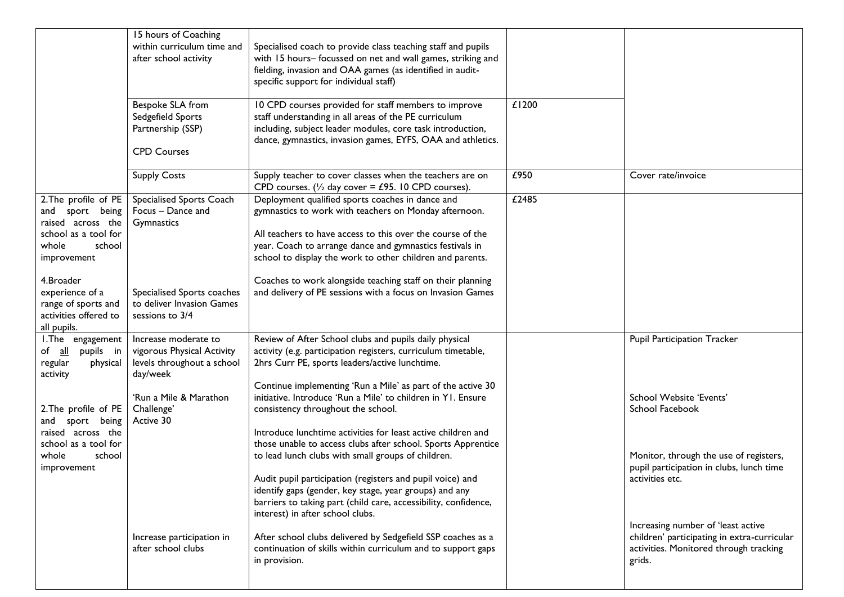|                                                                                                                        | 15 hours of Coaching<br>within curriculum time and<br>after school activity                  | Specialised coach to provide class teaching staff and pupils<br>with 15 hours- focussed on net and wall games, striking and<br>fielding, invasion and OAA games (as identified in audit-<br>specific support for individual staff)                                                                                                                                                                               |       |                                                                                                                                       |
|------------------------------------------------------------------------------------------------------------------------|----------------------------------------------------------------------------------------------|------------------------------------------------------------------------------------------------------------------------------------------------------------------------------------------------------------------------------------------------------------------------------------------------------------------------------------------------------------------------------------------------------------------|-------|---------------------------------------------------------------------------------------------------------------------------------------|
|                                                                                                                        | Bespoke SLA from<br>Sedgefield Sports<br>Partnership (SSP)<br><b>CPD Courses</b>             | 10 CPD courses provided for staff members to improve<br>staff understanding in all areas of the PE curriculum<br>including, subject leader modules, core task introduction,<br>dance, gymnastics, invasion games, EYFS, OAA and athletics.                                                                                                                                                                       | £1200 |                                                                                                                                       |
|                                                                                                                        | <b>Supply Costs</b>                                                                          | Supply teacher to cover classes when the teachers are on<br>CPD courses. ( $\frac{1}{2}$ day cover = £95. 10 CPD courses).                                                                                                                                                                                                                                                                                       | £950  | Cover rate/invoice                                                                                                                    |
| 2. The profile of PE<br>and sport being<br>raised across the<br>school as a tool for<br>school<br>whole<br>improvement | Specialised Sports Coach<br>Focus - Dance and<br>Gymnastics                                  | Deployment qualified sports coaches in dance and<br>gymnastics to work with teachers on Monday afternoon.<br>All teachers to have access to this over the course of the<br>year. Coach to arrange dance and gymnastics festivals in<br>school to display the work to other children and parents.                                                                                                                 | £2485 |                                                                                                                                       |
| 4.Broader<br>experience of a<br>range of sports and<br>activities offered to<br>all pupils.                            | Specialised Sports coaches<br>to deliver Invasion Games<br>sessions to 3/4                   | Coaches to work alongside teaching staff on their planning<br>and delivery of PE sessions with a focus on Invasion Games                                                                                                                                                                                                                                                                                         |       |                                                                                                                                       |
| I. The engagement<br>of <u>all</u><br>pupils in<br>regular<br>physical<br>activity                                     | Increase moderate to<br>vigorous Physical Activity<br>levels throughout a school<br>day/week | Review of After School clubs and pupils daily physical<br>activity (e.g. participation registers, curriculum timetable,<br>2hrs Curr PE, sports leaders/active lunchtime.<br>Continue implementing 'Run a Mile' as part of the active 30                                                                                                                                                                         |       | <b>Pupil Participation Tracker</b>                                                                                                    |
| 2. The profile of PE<br>and sport being                                                                                | 'Run a Mile & Marathon<br>Challenge'<br>Active 30                                            | initiative. Introduce 'Run a Mile' to children in YI. Ensure<br>consistency throughout the school.                                                                                                                                                                                                                                                                                                               |       | School Website 'Events'<br>School Facebook                                                                                            |
| raised across the<br>school as a tool for<br>school<br>whole<br>improvement                                            |                                                                                              | Introduce lunchtime activities for least active children and<br>those unable to access clubs after school. Sports Apprentice<br>to lead lunch clubs with small groups of children.<br>Audit pupil participation (registers and pupil voice) and<br>identify gaps (gender, key stage, year groups) and any<br>barriers to taking part (child care, accessibility, confidence,<br>interest) in after school clubs. |       | Monitor, through the use of registers,<br>pupil participation in clubs, lunch time<br>activities etc.                                 |
|                                                                                                                        | Increase participation in<br>after school clubs                                              | After school clubs delivered by Sedgefield SSP coaches as a<br>continuation of skills within curriculum and to support gaps<br>in provision.                                                                                                                                                                                                                                                                     |       | Increasing number of 'least active<br>children' participating in extra-curricular<br>activities. Monitored through tracking<br>grids. |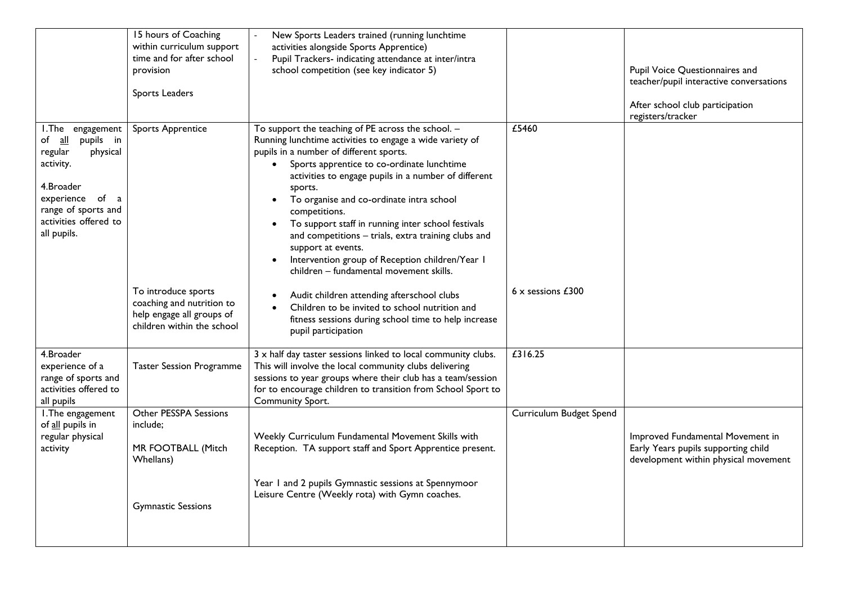|                                                                                                                                                                                | 15 hours of Coaching<br>within curriculum support<br>time and for after school<br>provision<br>Sports Leaders | New Sports Leaders trained (running lunchtime<br>activities alongside Sports Apprentice)<br>Pupil Trackers- indicating attendance at inter/intra<br>school competition (see key indicator 5)                                                                                                                                                                                                                                                                                                                                                                                                                                 |                          | Pupil Voice Questionnaires and<br>teacher/pupil interactive conversations<br>After school club participation<br>registers/tracker |
|--------------------------------------------------------------------------------------------------------------------------------------------------------------------------------|---------------------------------------------------------------------------------------------------------------|------------------------------------------------------------------------------------------------------------------------------------------------------------------------------------------------------------------------------------------------------------------------------------------------------------------------------------------------------------------------------------------------------------------------------------------------------------------------------------------------------------------------------------------------------------------------------------------------------------------------------|--------------------------|-----------------------------------------------------------------------------------------------------------------------------------|
| I. The engagement<br>pupils in<br>of all<br>regular<br>physical<br>activity.<br>4.Broader<br>experience of<br>a<br>range of sports and<br>activities offered to<br>all pupils. | <b>Sports Apprentice</b>                                                                                      | To support the teaching of PE across the school. -<br>Running lunchtime activities to engage a wide variety of<br>pupils in a number of different sports.<br>Sports apprentice to co-ordinate lunchtime<br>$\bullet$<br>activities to engage pupils in a number of different<br>sports.<br>To organise and co-ordinate intra school<br>$\bullet$<br>competitions.<br>To support staff in running inter school festivals<br>$\bullet$<br>and competitions - trials, extra training clubs and<br>support at events.<br>Intervention group of Reception children/Year I<br>$\bullet$<br>children - fundamental movement skills. | £5460                    |                                                                                                                                   |
|                                                                                                                                                                                | To introduce sports<br>coaching and nutrition to<br>help engage all groups of<br>children within the school   | Audit children attending afterschool clubs<br>Children to be invited to school nutrition and<br>fitness sessions during school time to help increase<br>pupil participation                                                                                                                                                                                                                                                                                                                                                                                                                                                  | $6 \times$ sessions £300 |                                                                                                                                   |
| 4.Broader<br>experience of a<br>range of sports and<br>activities offered to<br>all pupils                                                                                     | <b>Taster Session Programme</b>                                                                               | 3 x half day taster sessions linked to local community clubs.<br>This will involve the local community clubs delivering<br>sessions to year groups where their club has a team/session<br>for to encourage children to transition from School Sport to<br>Community Sport.                                                                                                                                                                                                                                                                                                                                                   | £316.25                  |                                                                                                                                   |
| I. The engagement<br>of all pupils in<br>regular physical<br>activity                                                                                                          | Other PESSPA Sessions<br>include;<br>MR FOOTBALL (Mitch<br>Whellans)                                          | Weekly Curriculum Fundamental Movement Skills with<br>Reception. TA support staff and Sport Apprentice present.<br>Year 1 and 2 pupils Gymnastic sessions at Spennymoor                                                                                                                                                                                                                                                                                                                                                                                                                                                      | Curriculum Budget Spend  | Improved Fundamental Movement in<br>Early Years pupils supporting child<br>development within physical movement                   |
|                                                                                                                                                                                | <b>Gymnastic Sessions</b>                                                                                     | Leisure Centre (Weekly rota) with Gymn coaches.                                                                                                                                                                                                                                                                                                                                                                                                                                                                                                                                                                              |                          |                                                                                                                                   |